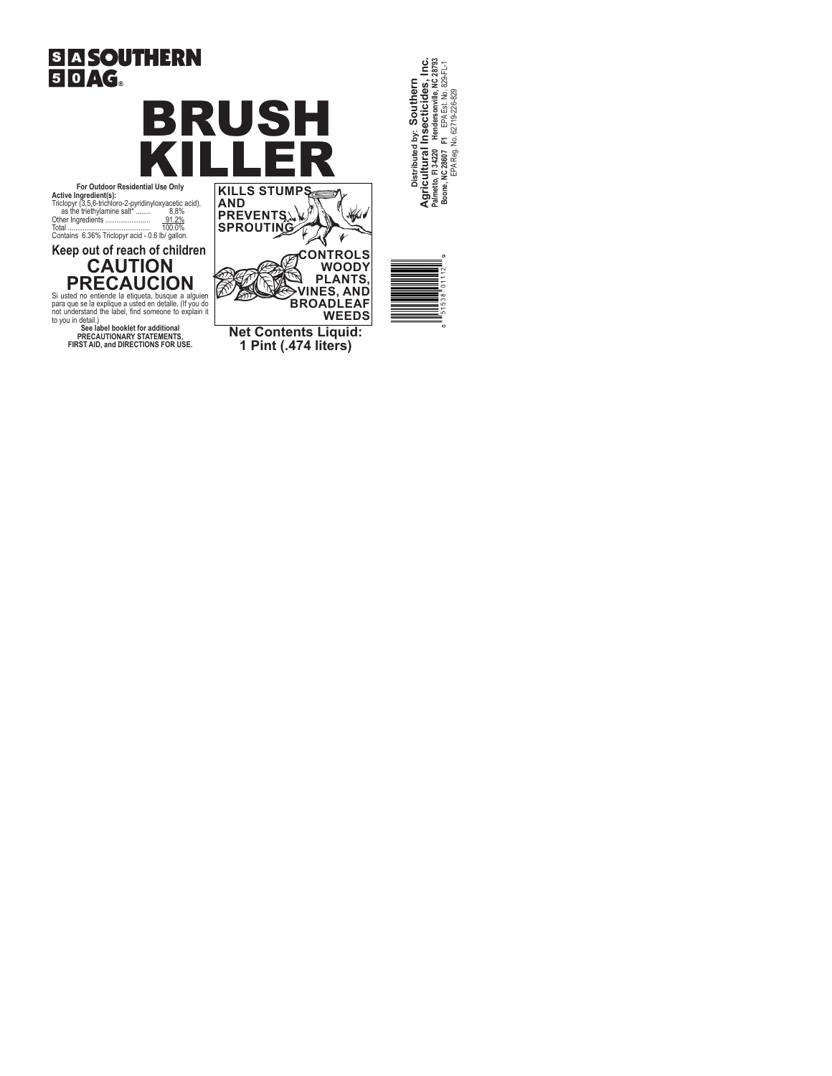



**AND PREVENTS SPROUTING**

**For Outdoor Residential Use Only Active Ingredient(s):** Triclopyr (3,5,6-trichloro-2-pyridinyloxyacetic acid), as the triethylamine salt\* ........ 8.8% Other Ingredients ........................ 91.2% Total ............................................ 100.0% Contains 6.36% Triclopyr acid - 0.6 lb/ gallon.

**Keep out of reach of children** 

# **CAUTION PRECAUCION**

Si usted no entiende la etiqueta, busque a alguien<br>para que se la explique a usted en detalle. (If you do<br>not understand the label, find someone to explain it<br>b you in detail.)<br>**See label booklet for additional** 

**PRECAUTIONARY STATEMENTS, FIRST AID, and DIRECTIONS FOR USE.**

Distributed by: Southern<br>Agricultural Insecticides, Inc.<br>Palmeto,F134220 Hendersonville, NC 28793<br>Boone, NEA Reg. No.62719-226-829<br>IEA Reg. No.62719-226-829 **Palmetto, Fl 34220 Hendersonville, NC 28793 Agricultural Insecticides, Inc. Boone, NC 28607 F1** EPA Est. No. 829-FL-1 **Distributed by: Southern**  EPA Reg. No. 62719-226-829



**Net Contents Liquid: 1 Pint (.474 liters)**

**CONTROLS WOODY PLANTS, VINES, AND BROADLEAF WEEDS**

 $\emptyset$  $\frac{1}{2}$ 

 $\mathbf{v}$ 

ð Té